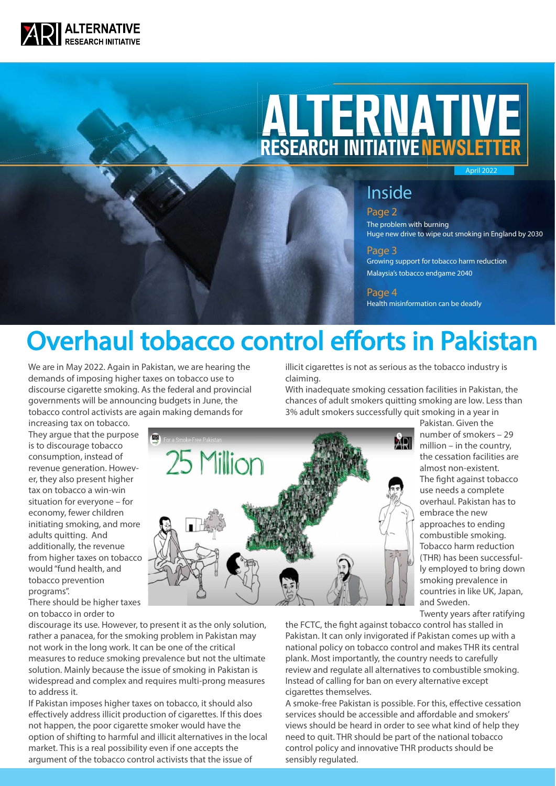

# **ALTERNATIVE** RESEARCH INITIATIVE NEWSLETTER

April 2022

### Inside

Page 2 The problem with burning Huge new drive to wipe out smoking in England by 2030

#### Page 3

Growing support for tobacco harm reduction Malaysia's tobacco endgame 2040

#### Page 4

Health misinformation can be deadly

# Overhaul tobacco control efforts in Pakistan

We are in May 2022. Again in Pakistan, we are hearing the demands of imposing higher taxes on tobacco use to discourse cigarette smoking. As the federal and provincial governments will be announcing budgets in June, the tobacco control activists are again making demands for

illicit cigarettes is not as serious as the tobacco industry is claiming.

With inadequate smoking cessation facilities in Pakistan, the chances of adult smokers quitting smoking are low. Less than 3% adult smokers successfully quit smoking in a year in

increasing tax on tobacco. They argue that the purpose is to discourage tobacco consumption, instead of revenue generation. However, they also present higher tax on tobacco a win-win situation for everyone – for economy, fewer children initiating smoking, and more adults quitting. And additionally, the revenue from higher taxes on tobacco would "fund health, and tobacco prevention programs".

There should be higher taxes on tobacco in order to

discourage its use. However, to present it as the only solution, rather a panacea, for the smoking problem in Pakistan may not work in the long work. It can be one of the critical measures to reduce smoking prevalence but not the ultimate solution. Mainly because the issue of smoking in Pakistan is widespread and complex and requires multi-prong measures to address it.

If Pakistan imposes higher taxes on tobacco, it should also effectively address illicit production of cigarettes. If this does not happen, the poor cigarette smoker would have the option of shifting to harmful and illicit alternatives in the local market. This is a real possibility even if one accepts the argument of the tobacco control activists that the issue of



Pakistan. Given the number of smokers – 29 million – in the country, the cessation facilities are almost non-existent. The fight against tobacco use needs a complete overhaul. Pakistan has to embrace the new approaches to ending combustible smoking. Tobacco harm reduction (THR) has been successfully employed to bring down smoking prevalence in countries in like UK, Japan, and Sweden.

Twenty years after ratifying

the FCTC, the fight against tobacco control has stalled in Pakistan. It can only invigorated if Pakistan comes up with a national policy on tobacco control and makes THR its central plank. Most importantly, the country needs to carefully review and regulate all alternatives to combustible smoking. Instead of calling for ban on every alternative except cigarettes themselves.

A smoke-free Pakistan is possible. For this, effective cessation services should be accessible and affordable and smokers' views should be heard in order to see what kind of help they need to quit. THR should be part of the national tobacco control policy and innovative THR products should be sensibly regulated.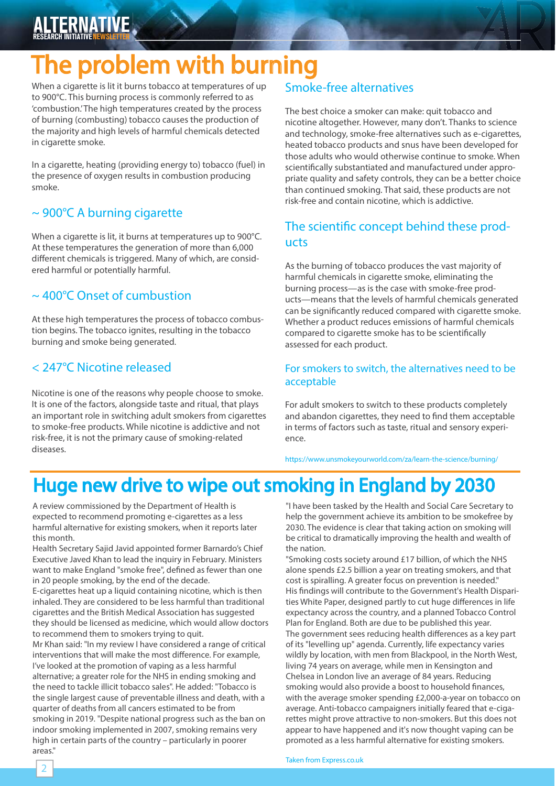#### **ALTERNATIVE** RESEARCH INITIATIVE <mark>Newsletter</mark>

## The problem with burning

When a cigarette is lit it burns tobacco at temperatures of up to 900°C. This burning process is commonly referred to as 'combustion.' The high temperatures created by the process of burning (combusting) tobacco causes the production of the majority and high levels of harmful chemicals detected in cigarette smoke.

In a cigarette, heating (providing energy to) tobacco (fuel) in the presence of oxygen results in combustion producing smoke.

#### ~ 900°C A burning cigarette

When a cigarette is lit, it burns at temperatures up to 900°C. At these temperatures the generation of more than 6,000 different chemicals is triggered. Many of which, are considered harmful or potentially harmful.

### ~ 400°C Onset of cumbustion

At these high temperatures the process of tobacco combustion begins. The tobacco ignites, resulting in the tobacco burning and smoke being generated.

### < 247°C Nicotine released

Nicotine is one of the reasons why people choose to smoke. It is one of the factors, alongside taste and ritual, that plays an important role in switching adult smokers from cigarettes to smoke-free products. While nicotine is addictive and not risk-free, it is not the primary cause of smoking-related diseases.

### Smoke-free alternatives

The best choice a smoker can make: quit tobacco and nicotine altogether. However, many don't. Thanks to science and technology, smoke-free alternatives such as e-cigarettes, heated tobacco products and snus have been developed for those adults who would otherwise continue to smoke. When scientifically substantiated and manufactured under appropriate quality and safety controls, they can be a better choice than continued smoking. That said, these products are not risk-free and contain nicotine, which is addictive.

#### The scientific concept behind these products

As the burning of tobacco produces the vast majority of harmful chemicals in cigarette smoke, eliminating the burning process—as is the case with smoke-free products—means that the levels of harmful chemicals generated can be significantly reduced compared with cigarette smoke. Whether a product reduces emissions of harmful chemicals compared to cigarette smoke has to be scientifically assessed for each product.

#### For smokers to switch, the alternatives need to be acceptable

For adult smokers to switch to these products completely and abandon cigarettes, they need to find them acceptable in terms of factors such as taste, ritual and sensory experience.

https://www.unsmokeyourworld.com/za/learn-the-science/burning/

### Huge new drive to wipe out smoking in England by 2030

A review commissioned by the Department of Health is expected to recommend promoting e-cigarettes as a less harmful alternative for existing smokers, when it reports later this month.

Health Secretary Sajid Javid appointed former Barnardo's Chief Executive Javed Khan to lead the inquiry in February. Ministers want to make England "smoke free", defined as fewer than one in 20 people smoking, by the end of the decade.

E-cigarettes heat up a liquid containing nicotine, which is then inhaled. They are considered to be less harmful than traditional cigarettes and the British Medical Association has suggested they should be licensed as medicine, which would allow doctors to recommend them to smokers trying to quit.

Mr Khan said: "In my review I have considered a range of critical interventions that will make the most difference. For example, I've looked at the promotion of vaping as a less harmful alternative; a greater role for the NHS in ending smoking and the need to tackle illicit tobacco sales". He added: "Tobacco is the single largest cause of preventable illness and death, with a quarter of deaths from all cancers estimated to be from smoking in 2019. "Despite national progress such as the ban on indoor smoking implemented in 2007, smoking remains very high in certain parts of the country – particularly in poorer areas."

2

"I have been tasked by the Health and Social Care Secretary to help the government achieve its ambition to be smokefree by 2030. The evidence is clear that taking action on smoking will be critical to dramatically improving the health and wealth of the nation.

"Smoking costs society around £17 billion, of which the NHS alone spends £2.5 billion a year on treating smokers, and that cost is spiralling. A greater focus on prevention is needed." His findings will contribute to the Government's Health Disparities White Paper, designed partly to cut huge differences in life expectancy across the country, and a planned Tobacco Control Plan for England. Both are due to be published this year. The government sees reducing health differences as a key part of its "levelling up" agenda. Currently, life expectancy varies wildly by location, with men from Blackpool, in the North West, living 74 years on average, while men in Kensington and Chelsea in London live an average of 84 years. Reducing smoking would also provide a boost to household finances, with the average smoker spending £2,000-a-year on tobacco on average. Anti-tobacco campaigners initially feared that e-cigarettes might prove attractive to non-smokers. But this does not appear to have happened and it's now thought vaping can be promoted as a less harmful alternative for existing smokers.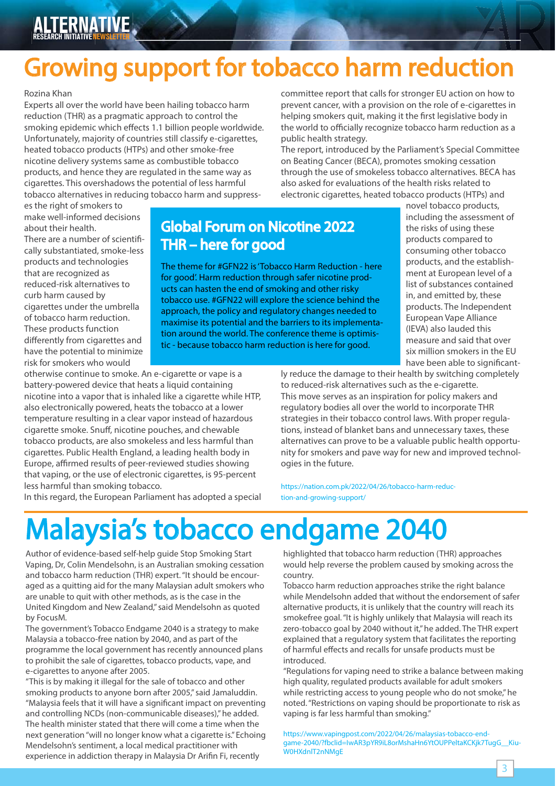## Growing support for tobacco harm reduction

#### Rozina Khan

Experts all over the world have been hailing tobacco harm reduction (THR) as a pragmatic approach to control the smoking epidemic which effects 1.1 billion people worldwide. Unfortunately, majority of countries still classify e-cigarettes, heated tobacco products (HTPs) and other smoke-free nicotine delivery systems same as combustible tobacco products, and hence they are regulated in the same way as cigarettes. This overshadows the potential of less harmful tobacco alternatives in reducing tobacco harm and suppresscommittee report that calls for stronger EU action on how to prevent cancer, with a provision on the role of e-cigarettes in helping smokers quit, making it the first legislative body in the world to officially recognize tobacco harm reduction as a public health strategy.

The report, introduced by the Parliament's Special Committee on Beating Cancer (BECA), promotes smoking cessation through the use of smokeless tobacco alternatives. BECA has also asked for evaluations of the health risks related to electronic cigarettes, heated tobacco products (HTPs) and

es the right of smokers to make well-informed decisions about their health.

There are a number of scientifically substantiated, smoke-less products and technologies that are recognized as reduced-risk alternatives to curb harm caused by cigarettes under the umbrella of tobacco harm reduction. These products function differently from cigarettes and have the potential to minimize risk for smokers who would

### Global Forum on Nicotine 2022 THR – here for good

The theme for #GFN22 is 'Tobacco Harm Reduction - here for good'. Harm reduction through safer nicotine products can hasten the end of smoking and other risky tobacco use. #GFN22 will explore the science behind the approach, the policy and regulatory changes needed to maximise its potential and the barriers to its implementation around the world. The conference theme is optimistic - because tobacco harm reduction is here for good.

novel tobacco products, including the assessment of the risks of using these products compared to consuming other tobacco products, and the establishment at European level of a list of substances contained in, and emitted by, these products. The Independent European Vape Alliance (IEVA) also lauded this measure and said that over six million smokers in the EU have been able to significant-

otherwise continue to smoke. An e-cigarette or vape is a battery-powered device that heats a liquid containing nicotine into a vapor that is inhaled like a cigarette while HTP, also electronically powered, heats the tobacco at a lower temperature resulting in a clear vapor instead of hazardous cigarette smoke. Snuff, nicotine pouches, and chewable tobacco products, are also smokeless and less harmful than cigarettes. Public Health England, a leading health body in Europe, affirmed results of peer-reviewed studies showing that vaping, or the use of electronic cigarettes, is 95-percent less harmful than smoking tobacco.

In this regard, the European Parliament has adopted a special

ly reduce the damage to their health by switching completely to reduced-risk alternatives such as the e-cigarette. This move serves as an inspiration for policy makers and regulatory bodies all over the world to incorporate THR strategies in their tobacco control laws. With proper regulations, instead of blanket bans and unnecessary taxes, these alternatives can prove to be a valuable public health opportunity for smokers and pave way for new and improved technologies in the future.

https://nation.com.pk/2022/04/26/tobacco-harm-reduction-and-growing-support/

# Malaysia's tobacco endgame 2040

Author of evidence-based self-help guide Stop Smoking Start Vaping, Dr, Colin Mendelsohn, is an Australian smoking cessation and tobacco harm reduction (THR) expert. "It should be encouraged as a quitting aid for the many Malaysian adult smokers who are unable to quit with other methods, as is the case in the United Kingdom and New Zealand," said Mendelsohn as quoted by FocusM.

The government's Tobacco Endgame 2040 is a strategy to make Malaysia a tobacco-free nation by 2040, and as part of the programme the local government has recently announced plans to prohibit the sale of cigarettes, tobacco products, vape, and e-cigarettes to anyone after 2005.

"This is by making it illegal for the sale of tobacco and other smoking products to anyone born after 2005," said Jamaluddin. "Malaysia feels that it will have a significant impact on preventing and controlling NCDs (non-communicable diseases)," he added. The health minister stated that there will come a time when the next generation "will no longer know what a cigarette is." Echoing Mendelsohn's sentiment, a local medical practitioner with experience in addiction therapy in Malaysia Dr Arifin Fi, recently

highlighted that tobacco harm reduction (THR) approaches would help reverse the problem caused by smoking across the country.

Tobacco harm reduction approaches strike the right balance while Mendelsohn added that without the endorsement of safer alternative products, it is unlikely that the country will reach its smokefree goal. "It is highly unlikely that Malaysia will reach its zero-tobacco goal by 2040 without it," he added. The THR expert explained that a regulatory system that facilitates the reporting of harmful effects and recalls for unsafe products must be introduced.

"Regulations for vaping need to strike a balance between making high quality, regulated products available for adult smokers while restricting access to young people who do not smoke," he noted. "Restrictions on vaping should be proportionate to risk as vaping is far less harmful than smoking."

https://www.vapingpost.com/2022/04/26/malaysias-tobacco-endgame-2040/?fbclid=IwAR3pYR9iL8orMshaHn6YtOUPPeltaKCKjk7TugG\_\_Kiu-W0HXdnlT2nNMgE